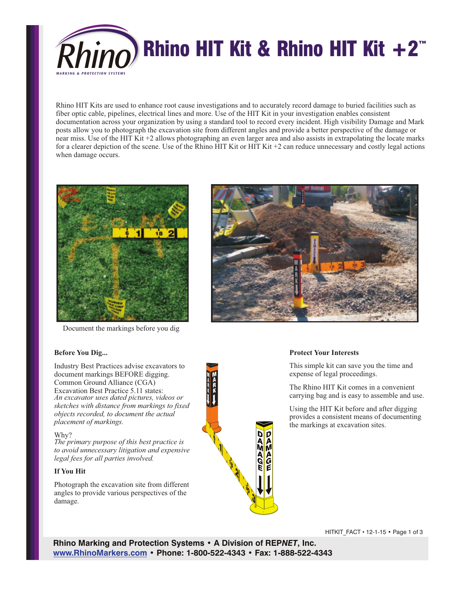

Rhino HIT Kits are used to enhance root cause investigations and to accurately record damage to buried facilities such as fiber optic cable, pipelines, electrical lines and more. Use of the HIT Kit in your investigation enables consistent documentation across your organization by using a standard tool to record every incident. High visibility Damage and Mark posts allow you to photograph the excavation site from different angles and provide a better perspective of the damage or near miss. Use of the HIT Kit +2 allows photographing an even larger area and also assists in extrapolating the locate marks for a clearer depiction of the scene. Use of the Rhino HIT Kit or HIT Kit +2 can reduce unnecessary and costly legal actions when damage occurs.



Document the markings before you dig

#### **Before You Dig...**

Industry Best Practices advise excavators to document markings BEFORE digging. Common Ground Alliance (CGA) Excavation Best Practice 5.11 states: *An excavator uses dated pictures, videos or sketches with distance from markings to fixed objects recorded, to document the actual placement of markings.*

#### Why?

*The primary purpose of this best practice is to avoid unnecessary litigation and expensive legal fees for all parties involved.*

#### **If You Hit**

Photograph the excavation site from different angles to provide various perspectives of the damage.





#### **Protect Your Interests**

This simple kit can save you the time and expense of legal proceedings.

The Rhino HIT Kit comes in a convenient carrying bag and is easy to assemble and use.

Using the HIT Kit before and after digging provides a consistent means of documenting the markings at excavation sites.

HITKIT\_FACT • 12-1-15 • Page 1 of 3

**Rhino Marking and Protection Systems • A Division of REP***NET***, Inc. www.RhinoMarkers.com • Phone: 1-800-522-4343 • Fax: 1-888-522-4343**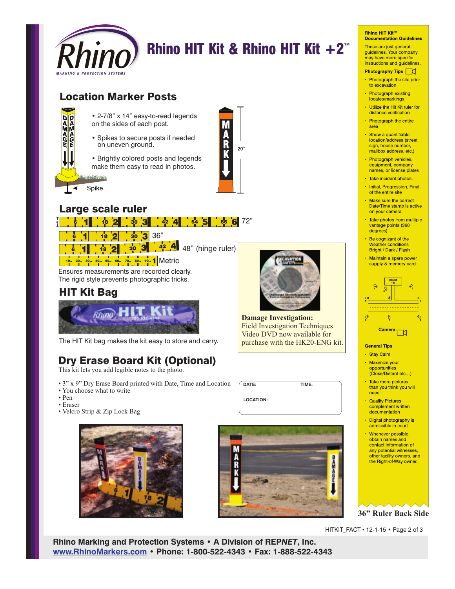

# **Rhino HIT Kit & Rhino HIT Kit +2<sup>** $m$ **</sup>**

# Location Marker Posts



• 2-7/8" x 14" easy-to-read legends on the sides of each post.

• Spikes to secure posts if needed on uneven ground.

• Brightly colored posts and legends make them easy to read in photos.



# Large scale ruler



Ensures measurements are recorded clearly. The rigid style prevents photographic tricks.

## **<sup>8</sup>** HIT Kit Bag



The HIT Kit bag makes the kit easy to store and carry.

# Dry Erase Board Kit (Optional)

This kit lets you add legible notes to the photo.

- 3" x 9" Dry Erase Board printed with Date, Time and Location
- You choose what to write
- Pen • Eraser
- Velcro Strip & Zip Lock Bag





**DATE: TIME:**

**LOCATION:**

#### **Rhino HIT Kit™ Documentation Guidelines**

These are just general guidelines. Your company may have more specific instructions and guidelines.

- Photography Tips |
- Photograph the site prior to excavation
- Photograph existing locates/markings
- . Utilize the Hit Kit ruler for distance verification
- Photograph the entire area
- · Show a quantifiable location/address (street sign, house number, mailbox address, etc.)
- Photograph vehicles, equipment, company names, or license plates
- · Take incident photos.
- · Initial, Progression, Final, of the entire site
- Make sure the correct Date/Time stamp is active on your camera
- · Take photos from multiple vantage points (360 degrees)
- Be cognizant of the Weather conditions Bright / Dark / Flash
- Maintain a spare power supply & memory card



#### **General Tips**

- · Stay Calm
- · Maximize your opportunities (Close/Distant etc...)
- Take more pictures than you think you will need
- **Quality Pictures** complement written documentation
- Digital photography is admissible in court
- Whenever possible, obtain names and contact information of any potential witnesses. other facility owners, and the Right-of-Way owner.

**36" Ruler Back Side**

HITKIT\_FACT • 12-1-15 • Page 2 of 3

**Rhino Marking and Protection Systems • A Division of REP***NET***, Inc. www.RhinoMarkers.com • Phone: 1-800-522-4343 • Fax: 1-888-522-4343**



**Damage Investigation:** Field Investigation Techniques Video DVD now available for purchase with the HK20-ENG kit.